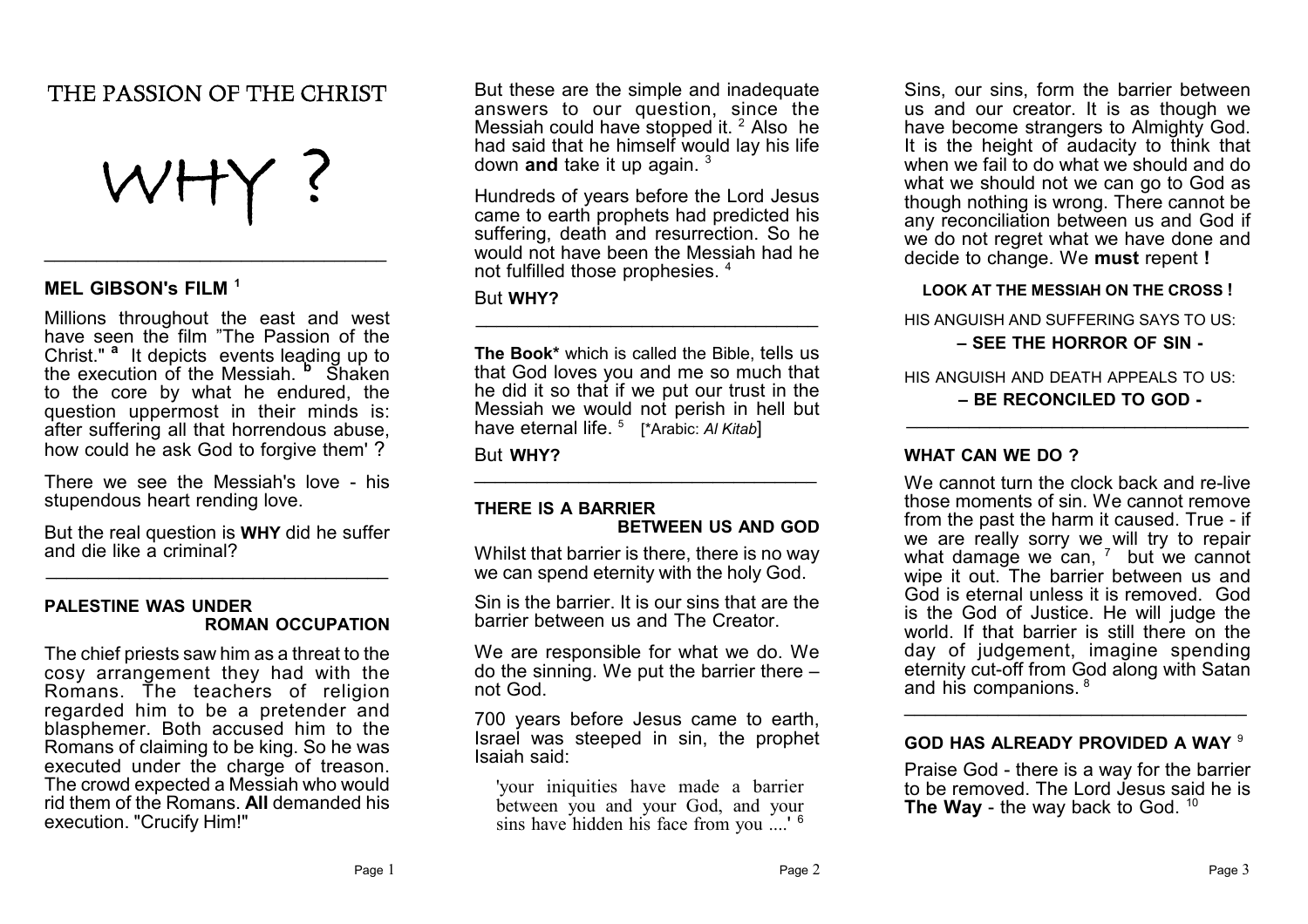# **THE PASSION OF THE CHRIST**



 $\overline{\phantom{a}}$  , where  $\overline{\phantom{a}}$  , where  $\overline{\phantom{a}}$  ,  $\overline{\phantom{a}}$  ,  $\overline{\phantom{a}}$  ,  $\overline{\phantom{a}}$  ,  $\overline{\phantom{a}}$  ,  $\overline{\phantom{a}}$  ,  $\overline{\phantom{a}}$  ,  $\overline{\phantom{a}}$  ,  $\overline{\phantom{a}}$  ,  $\overline{\phantom{a}}$  ,  $\overline{\phantom{a}}$  ,  $\overline{\phantom{a}}$  ,  $\overline{\phantom{a}}$  ,

# **MEL GIBSON's FILM <sup>1</sup>**

Millions throughout the east and west have seen the film "The Passion of the Christ." **<sup>a</sup>** It depicts events leading up to the execution of the Messiah. **<sup>b</sup>** Shaken to the core by what he endured, the question uppermost in their minds is: after suffering all that horrendous abuse, how could he ask God to forgive them' ?

There we see the Messiah's love - his stupendous heart rending love.

But the real question is **WHY** did he suffer and die like a criminal?  $\overline{\phantom{a}}$  , where  $\overline{\phantom{a}}$  , where  $\overline{\phantom{a}}$  ,  $\overline{\phantom{a}}$  ,  $\overline{\phantom{a}}$  ,  $\overline{\phantom{a}}$  ,  $\overline{\phantom{a}}$  ,  $\overline{\phantom{a}}$  ,  $\overline{\phantom{a}}$  ,  $\overline{\phantom{a}}$  ,  $\overline{\phantom{a}}$  ,  $\overline{\phantom{a}}$  ,  $\overline{\phantom{a}}$  ,  $\overline{\phantom{a}}$  ,  $\overline{\phantom{a}}$  ,

### **PALESTINE WAS UNDER ROMAN OCCUPATION**

The chief priests saw him as a threat to the cosy arrangement they had with the Romans. The teachers of religion regarded him to be a pretender and blasphemer. Both accused him to the Romans of claiming to be king. So he was executed under the charge of treason. The crowd expected a Messiah who would rid them of the Romans. **All** demanded his execution. "Crucify Him!"

But these are the simple and inadequate answers to our question, since the Messiah could have stopped it. <sup>2</sup> Also he had said that he himself would lay his life down **and** take it up again. <sup>3</sup>

Hundreds of years before the Lord Jesus came to earth prophets had predicted his suffering, death and resurrection. So he would not have been the Messiah had he not fulfilled those prophesies. <sup>4</sup>

## But **WHY?**

**The Book\*** which is called the Bible, tells us that God loves you and me so much that he did it so that if we put our trust in the Messiah we would not perish in hell but have eternal life. <sup>5</sup> [\*Arabic: *Al Kitab*]

 $\mathcal{L}_\text{max}$  , where  $\mathcal{L}_\text{max}$  and  $\mathcal{L}_\text{max}$  and  $\mathcal{L}_\text{max}$ 

But **WHY?**

# **THERE IS A BARRIER BETWEEN US AND GOD**

 $\overline{\phantom{a}}$  , where  $\overline{\phantom{a}}$  , where  $\overline{\phantom{a}}$  ,  $\overline{\phantom{a}}$  ,  $\overline{\phantom{a}}$  ,  $\overline{\phantom{a}}$  ,  $\overline{\phantom{a}}$  ,  $\overline{\phantom{a}}$  ,  $\overline{\phantom{a}}$  ,  $\overline{\phantom{a}}$  ,  $\overline{\phantom{a}}$  ,  $\overline{\phantom{a}}$  ,  $\overline{\phantom{a}}$  ,  $\overline{\phantom{a}}$  ,  $\overline{\phantom{a}}$  ,

Whilst that barrier is there, there is no way we can spend eternity with the holy God.

Sin is the barrier. It is our sins that are the barrier between us and The Creator.

We are responsible for what we do. We do the sinning. We put the barrier there – not God.

700 years before Jesus came to earth, Israel was steeped in sin, the prophet Isaiah said:

'your iniquities have made a barrier between you and your God, and your sins have hidden his face from you ....'<sup>6</sup>

Sins, our sins, form the barrier between us and our creator. It is as though we have become strangers to Almighty God. It is the height of audacity to think that when we fail to do what we should and do what we should not we can go to God as though nothing is wrong. There cannot be any reconciliation between us and God if we do not regret what we have done and decide to change. We **must** repent **!**

## **LOOK AT THE MESSIAH ON THE CROSS !**

HIS ANGUISH AND SUFFERING SAYS TO US:

## **– SEE THE HORROR OF SIN -**

HIS ANGUISH AND DEATH APPEALS TO US: **– BE RECONCILED TO GOD -**

 $\overline{\phantom{a}}$  , where  $\overline{\phantom{a}}$  , where  $\overline{\phantom{a}}$  ,  $\overline{\phantom{a}}$  ,  $\overline{\phantom{a}}$  ,  $\overline{\phantom{a}}$  ,  $\overline{\phantom{a}}$  ,  $\overline{\phantom{a}}$  ,  $\overline{\phantom{a}}$  ,  $\overline{\phantom{a}}$  ,  $\overline{\phantom{a}}$  ,  $\overline{\phantom{a}}$  ,  $\overline{\phantom{a}}$  ,  $\overline{\phantom{a}}$  ,  $\overline{\phantom{a}}$  ,

# **WHAT CAN WE DO ?**

We cannot turn the clock back and re-live those moments of sin. We cannot remove from the past the harm it caused. True - if we are really sorry we will try to repair what damage we can, 7 but we cannot wipe it out. The barrier between us and God is eternal unless it is removed. God is the God of Justice. He will judge the world. If that barrier is still there on the day of judgement, imagine spending eternity cut-off from God along with Satan and his companions. <sup>8</sup>  $\overline{\phantom{a}}$  , where  $\overline{\phantom{a}}$  , where  $\overline{\phantom{a}}$  ,  $\overline{\phantom{a}}$  ,  $\overline{\phantom{a}}$  ,  $\overline{\phantom{a}}$  ,  $\overline{\phantom{a}}$  ,  $\overline{\phantom{a}}$  ,  $\overline{\phantom{a}}$  ,  $\overline{\phantom{a}}$  ,  $\overline{\phantom{a}}$  ,  $\overline{\phantom{a}}$  ,  $\overline{\phantom{a}}$  ,  $\overline{\phantom{a}}$  ,  $\overline{\phantom{a}}$  ,

# **GOD HAS ALREADY PROVIDED A WAY** <sup>9</sup>

Praise God - there is a way for the barrier to be removed. The Lord Jesus said he is **The Way** - the way back to God. <sup>10</sup>